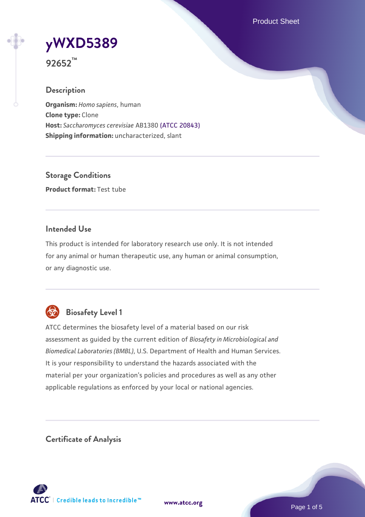Product Sheet

# **[yWXD5389](https://www.atcc.org/products/92652)**

**92652™**

# **Description**

**Organism:** *Homo sapiens*, human **Clone type:** Clone **Host:** *Saccharomyces cerevisiae* AB1380 [\(ATCC 20843\)](https://www.atcc.org/products/20843) **Shipping information:** uncharacterized, slant

**Storage Conditions Product format:** Test tube

## **Intended Use**

This product is intended for laboratory research use only. It is not intended for any animal or human therapeutic use, any human or animal consumption, or any diagnostic use.



# **Biosafety Level 1**

ATCC determines the biosafety level of a material based on our risk assessment as guided by the current edition of *Biosafety in Microbiological and Biomedical Laboratories (BMBL)*, U.S. Department of Health and Human Services. It is your responsibility to understand the hazards associated with the material per your organization's policies and procedures as well as any other applicable regulations as enforced by your local or national agencies.

**Certificate of Analysis**

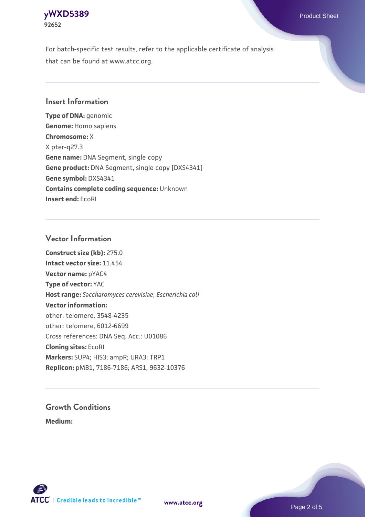#### **[yWXD5389](https://www.atcc.org/products/92652)** Product Sheet **92652**

For batch-specific test results, refer to the applicable certificate of analysis that can be found at www.atcc.org.

### **Insert Information**

**Type of DNA:** genomic **Genome:** Homo sapiens **Chromosome:** X X pter-q27.3 **Gene name:** DNA Segment, single copy **Gene product:** DNA Segment, single copy [DXS4341] **Gene symbol:** DXS4341 **Contains complete coding sequence:** Unknown **Insert end:** EcoRI

#### **Vector Information**

**Construct size (kb):** 275.0 **Intact vector size:** 11.454 **Vector name:** pYAC4 **Type of vector:** YAC **Host range:** *Saccharomyces cerevisiae*; *Escherichia coli* **Vector information:** other: telomere, 3548-4235 other: telomere, 6012-6699 Cross references: DNA Seq. Acc.: U01086 **Cloning sites:** EcoRI **Markers:** SUP4; HIS3; ampR; URA3; TRP1 **Replicon:** pMB1, 7186-7186; ARS1, 9632-10376

# **Growth Conditions**

**Medium:** 



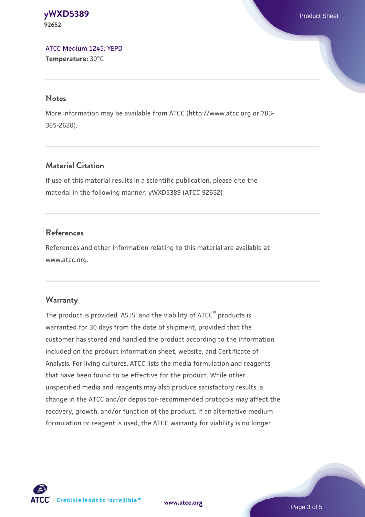#### **[yWXD5389](https://www.atcc.org/products/92652)** Product Sheet **92652**

[ATCC Medium 1245: YEPD](https://www.atcc.org/-/media/product-assets/documents/microbial-media-formulations/1/2/4/5/atcc-medium-1245.pdf?rev=705ca55d1b6f490a808a965d5c072196) **Temperature:** 30°C

#### **Notes**

More information may be available from ATCC (http://www.atcc.org or 703- 365-2620).

# **Material Citation**

If use of this material results in a scientific publication, please cite the material in the following manner: yWXD5389 (ATCC 92652)

# **References**

References and other information relating to this material are available at www.atcc.org.

# **Warranty**

The product is provided 'AS IS' and the viability of ATCC® products is warranted for 30 days from the date of shipment, provided that the customer has stored and handled the product according to the information included on the product information sheet, website, and Certificate of Analysis. For living cultures, ATCC lists the media formulation and reagents that have been found to be effective for the product. While other unspecified media and reagents may also produce satisfactory results, a change in the ATCC and/or depositor-recommended protocols may affect the recovery, growth, and/or function of the product. If an alternative medium formulation or reagent is used, the ATCC warranty for viability is no longer



**[www.atcc.org](http://www.atcc.org)**

Page 3 of 5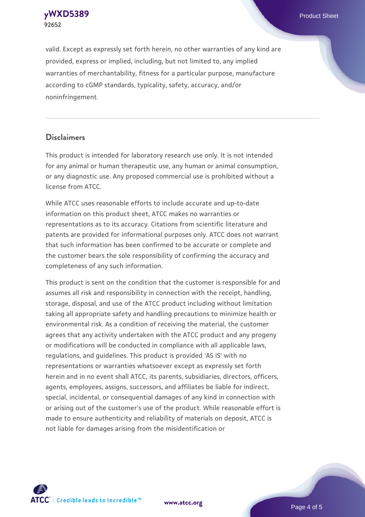**[yWXD5389](https://www.atcc.org/products/92652)** Product Sheet **92652**

valid. Except as expressly set forth herein, no other warranties of any kind are provided, express or implied, including, but not limited to, any implied warranties of merchantability, fitness for a particular purpose, manufacture according to cGMP standards, typicality, safety, accuracy, and/or noninfringement.

#### **Disclaimers**

This product is intended for laboratory research use only. It is not intended for any animal or human therapeutic use, any human or animal consumption, or any diagnostic use. Any proposed commercial use is prohibited without a license from ATCC.

While ATCC uses reasonable efforts to include accurate and up-to-date information on this product sheet, ATCC makes no warranties or representations as to its accuracy. Citations from scientific literature and patents are provided for informational purposes only. ATCC does not warrant that such information has been confirmed to be accurate or complete and the customer bears the sole responsibility of confirming the accuracy and completeness of any such information.

This product is sent on the condition that the customer is responsible for and assumes all risk and responsibility in connection with the receipt, handling, storage, disposal, and use of the ATCC product including without limitation taking all appropriate safety and handling precautions to minimize health or environmental risk. As a condition of receiving the material, the customer agrees that any activity undertaken with the ATCC product and any progeny or modifications will be conducted in compliance with all applicable laws, regulations, and guidelines. This product is provided 'AS IS' with no representations or warranties whatsoever except as expressly set forth herein and in no event shall ATCC, its parents, subsidiaries, directors, officers, agents, employees, assigns, successors, and affiliates be liable for indirect, special, incidental, or consequential damages of any kind in connection with or arising out of the customer's use of the product. While reasonable effort is made to ensure authenticity and reliability of materials on deposit, ATCC is not liable for damages arising from the misidentification or



**[www.atcc.org](http://www.atcc.org)**

Page 4 of 5